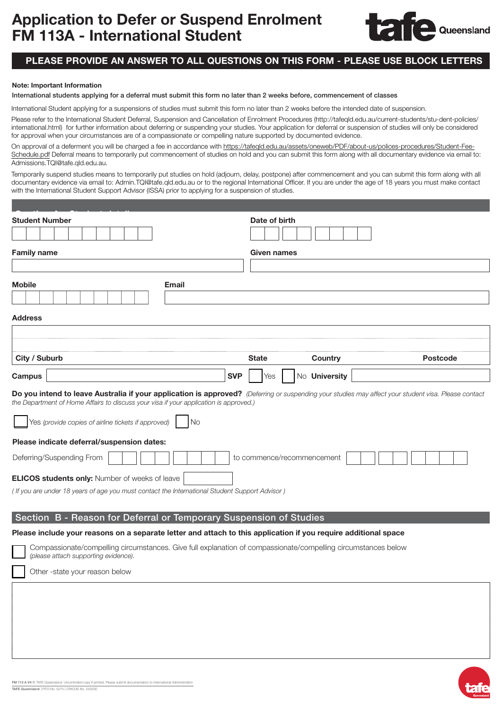

## PLEASE PROVIDE AN ANSWER TO ALL QUESTIONS ON THIS FORM - PLEASE USE BLOCK LETTERS

## Note: Important Information

International students applying for a deferral must submit this form no later than 2 weeks before, commencement of classes

International Student applying for a suspensions of studies must submit this form no later than 2 weeks before the intended date of suspension.

Please refer to the International Student Deferral, Suspension and Cancellation of Enrolment Procedures (http://tafeqld.edu.au/current-students/stu-dent-policies/ international.html) for further information about deferring or suspending your studies. Your application for deferral or suspension of studies will only be considered for approval when your circumstances are of a compassionate or compelling nature supported by documented evidence.

On approval of a deferment you will be charged a fee in accordance with [https://tafeqld.edu.au/assets/oneweb/PDF/about-us/polices-procedures/Student-Fee-](On approval of a deferment you will be charged a fee in accordance with https://tafeqld.edu.au/assets/oneweb/PDF/about-us/polices-procedures/Student-Fee-Schedule.pdf)[Schedule.pdf](On approval of a deferment you will be charged a fee in accordance with https://tafeqld.edu.au/assets/oneweb/PDF/about-us/polices-procedures/Student-Fee-Schedule.pdf) Deferral means to temporarily put commencement of studies on hold and you can submit this form along with all documentary evidence via email to: [Admissions.TQI@tafe.qld.edu.au.](mailto:Admissions.TQI@tafe.qld.edu.au)

Temporarily suspend studies means to temporarily put studies on hold (adjourn, delay, postpone) after commencement and you can submit this form along with all documentary evidence via email to: Admin.TQI@tafe.qld.edu.au or to the regional International Officer. If you are under the age of 18 years you must make contact with the International Student Support Advisor (ISSA) prior to applying for a suspension of studies.

| <b>Student Number</b>                                                                                                                                                                                                                         | Date of birth                      |         |                 |  |  |  |
|-----------------------------------------------------------------------------------------------------------------------------------------------------------------------------------------------------------------------------------------------|------------------------------------|---------|-----------------|--|--|--|
|                                                                                                                                                                                                                                               |                                    |         |                 |  |  |  |
| <b>Family name</b>                                                                                                                                                                                                                            | Given names                        |         |                 |  |  |  |
|                                                                                                                                                                                                                                               |                                    |         |                 |  |  |  |
| <b>Mobile</b><br>Email                                                                                                                                                                                                                        |                                    |         |                 |  |  |  |
|                                                                                                                                                                                                                                               |                                    |         |                 |  |  |  |
| <b>Address</b>                                                                                                                                                                                                                                |                                    |         |                 |  |  |  |
|                                                                                                                                                                                                                                               |                                    |         |                 |  |  |  |
|                                                                                                                                                                                                                                               |                                    |         |                 |  |  |  |
| City / Suburb                                                                                                                                                                                                                                 | <b>State</b>                       | Country | <b>Postcode</b> |  |  |  |
| Campus                                                                                                                                                                                                                                        | No University<br><b>SVP</b><br>Yes |         |                 |  |  |  |
| Do you intend to leave Australia if your application is approved? (Deferring or suspending your studies may affect your student visa. Please contact<br>the Department of Home Affairs to discuss your visa if your application is approved.) |                                    |         |                 |  |  |  |
| Yes (provide copies of airline tickets if approved)<br><b>No</b>                                                                                                                                                                              |                                    |         |                 |  |  |  |
| Please indicate deferral/suspension dates:                                                                                                                                                                                                    |                                    |         |                 |  |  |  |
| Deferring/Suspending From                                                                                                                                                                                                                     | to commence/recommencement         |         |                 |  |  |  |
| <b>ELICOS students only: Number of weeks of leave</b>                                                                                                                                                                                         |                                    |         |                 |  |  |  |
| (If you are under 18 years of age you must contact the International Student Support Advisor)                                                                                                                                                 |                                    |         |                 |  |  |  |
|                                                                                                                                                                                                                                               |                                    |         |                 |  |  |  |
| Section B - Reason for Deferral or Temporary Suspension of Studies                                                                                                                                                                            |                                    |         |                 |  |  |  |
| Please include your reasons on a separate letter and attach to this application if you require additional space                                                                                                                               |                                    |         |                 |  |  |  |
| Compassionate/compelling circumstances. Give full explanation of compassionate/compelling circumstances below<br>(please attach supporting evidence).                                                                                         |                                    |         |                 |  |  |  |
| Other-state your reason below                                                                                                                                                                                                                 |                                    |         |                 |  |  |  |
|                                                                                                                                                                                                                                               |                                    |         |                 |  |  |  |
|                                                                                                                                                                                                                                               |                                    |         |                 |  |  |  |
|                                                                                                                                                                                                                                               |                                    |         |                 |  |  |  |
|                                                                                                                                                                                                                                               |                                    |         |                 |  |  |  |
|                                                                                                                                                                                                                                               |                                    |         |                 |  |  |  |